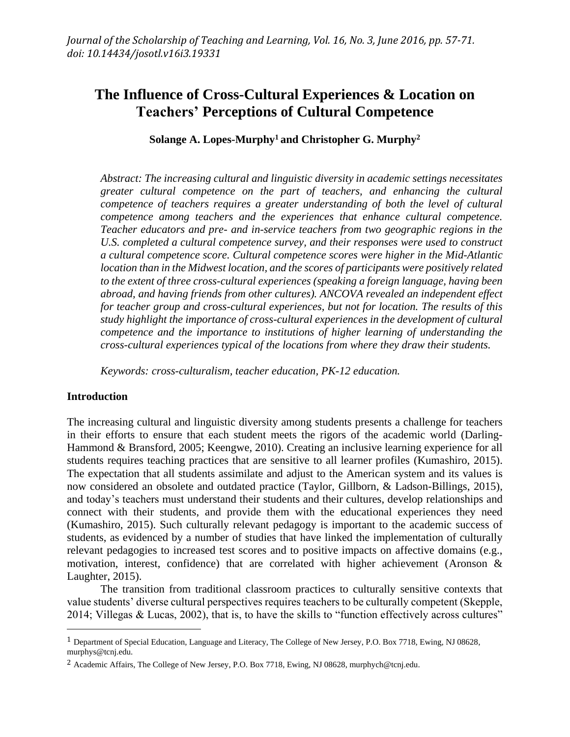# **The Influence of Cross-Cultural Experiences & Location on Teachers' Perceptions of Cultural Competence**

**Solange A. Lopes-Murphy<sup>1</sup> and Christopher G. Murphy<sup>2</sup>**

*Abstract: The increasing cultural and linguistic diversity in academic settings necessitates greater cultural competence on the part of teachers, and enhancing the cultural competence of teachers requires a greater understanding of both the level of cultural competence among teachers and the experiences that enhance cultural competence. Teacher educators and pre- and in-service teachers from two geographic regions in the U.S. completed a cultural competence survey, and their responses were used to construct a cultural competence score. Cultural competence scores were higher in the Mid-Atlantic location than in the Midwest location, and the scores of participants were positively related to the extent of three cross-cultural experiences (speaking a foreign language, having been abroad, and having friends from other cultures). ANCOVA revealed an independent effect for teacher group and cross-cultural experiences, but not for location. The results of this study highlight the importance of cross-cultural experiences in the development of cultural competence and the importance to institutions of higher learning of understanding the cross-cultural experiences typical of the locations from where they draw their students.*

*Keywords: cross-culturalism, teacher education, PK-12 education.*

#### **Introduction**

 $\overline{a}$ 

The increasing cultural and linguistic diversity among students presents a challenge for teachers in their efforts to ensure that each student meets the rigors of the academic world (Darling-Hammond & Bransford, 2005; Keengwe, 2010). Creating an inclusive learning experience for all students requires teaching practices that are sensitive to all learner profiles (Kumashiro, 2015). The expectation that all students assimilate and adjust to the American system and its values is now considered an obsolete and outdated practice (Taylor, Gillborn, & Ladson-Billings, 2015), and today's teachers must understand their students and their cultures, develop relationships and connect with their students, and provide them with the educational experiences they need (Kumashiro, 2015). Such culturally relevant pedagogy is important to the academic success of students, as evidenced by a number of studies that have linked the implementation of culturally relevant pedagogies to increased test scores and to positive impacts on affective domains (e.g., motivation, interest, confidence) that are correlated with higher achievement (Aronson & Laughter, 2015).

The transition from traditional classroom practices to culturally sensitive contexts that value students' diverse cultural perspectives requires teachers to be culturally competent (Skepple, 2014; Villegas & Lucas, 2002), that is, to have the skills to "function effectively across cultures"

<sup>1</sup> Department of Special Education, Language and Literacy, The College of New Jersey, P.O. Box 7718, Ewing, NJ 08628, murphys@tcnj.edu.

<sup>2</sup> Academic Affairs, The College of New Jersey, P.O. Box 7718, Ewing, NJ 08628, murphych@tcnj.edu.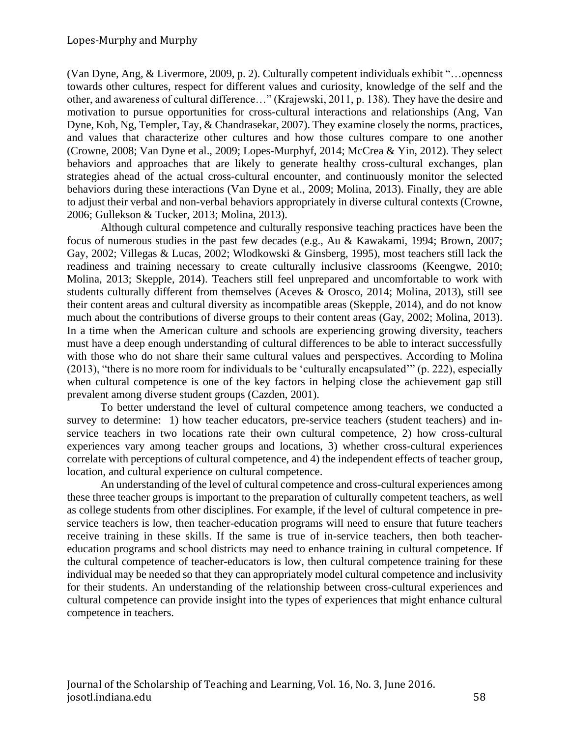(Van Dyne, Ang, & Livermore, 2009, p. 2). Culturally competent individuals exhibit "…openness towards other cultures, respect for different values and curiosity, knowledge of the self and the other, and awareness of cultural difference…" (Krajewski, 2011, p. 138). They have the desire and motivation to pursue opportunities for cross-cultural interactions and relationships (Ang, Van Dyne, Koh, Ng, Templer, Tay, & Chandrasekar, 2007). They examine closely the norms, practices, and values that characterize other cultures and how those cultures compare to one another (Crowne, 2008; Van Dyne et al., 2009; Lopes-Murphyf, 2014; McCrea & Yin, 2012). They select behaviors and approaches that are likely to generate healthy cross-cultural exchanges, plan strategies ahead of the actual cross-cultural encounter, and continuously monitor the selected behaviors during these interactions (Van Dyne et al., 2009; Molina, 2013). Finally, they are able to adjust their verbal and non-verbal behaviors appropriately in diverse cultural contexts (Crowne, 2006; Gullekson & Tucker, 2013; Molina, 2013).

Although cultural competence and culturally responsive teaching practices have been the focus of numerous studies in the past few decades (e.g., Au & Kawakami, 1994; Brown, 2007; Gay, 2002; Villegas & Lucas, 2002; Wlodkowski & Ginsberg, 1995), most teachers still lack the readiness and training necessary to create culturally inclusive classrooms (Keengwe, 2010; Molina, 2013; Skepple, 2014). Teachers still feel unprepared and uncomfortable to work with students culturally different from themselves (Aceves & Orosco, 2014; Molina, 2013), still see their content areas and cultural diversity as incompatible areas (Skepple, 2014), and do not know much about the contributions of diverse groups to their content areas (Gay, 2002; Molina, 2013). In a time when the American culture and schools are experiencing growing diversity, teachers must have a deep enough understanding of cultural differences to be able to interact successfully with those who do not share their same cultural values and perspectives. According to Molina (2013), "there is no more room for individuals to be 'culturally encapsulated'" (p. 222), especially when cultural competence is one of the key factors in helping close the achievement gap still prevalent among diverse student groups (Cazden, 2001).

To better understand the level of cultural competence among teachers, we conducted a survey to determine: 1) how teacher educators, pre-service teachers (student teachers) and inservice teachers in two locations rate their own cultural competence, 2) how cross-cultural experiences vary among teacher groups and locations, 3) whether cross-cultural experiences correlate with perceptions of cultural competence, and 4) the independent effects of teacher group, location, and cultural experience on cultural competence.

An understanding of the level of cultural competence and cross-cultural experiences among these three teacher groups is important to the preparation of culturally competent teachers, as well as college students from other disciplines. For example, if the level of cultural competence in preservice teachers is low, then teacher-education programs will need to ensure that future teachers receive training in these skills. If the same is true of in-service teachers, then both teachereducation programs and school districts may need to enhance training in cultural competence. If the cultural competence of teacher-educators is low, then cultural competence training for these individual may be needed so that they can appropriately model cultural competence and inclusivity for their students. An understanding of the relationship between cross-cultural experiences and cultural competence can provide insight into the types of experiences that might enhance cultural competence in teachers.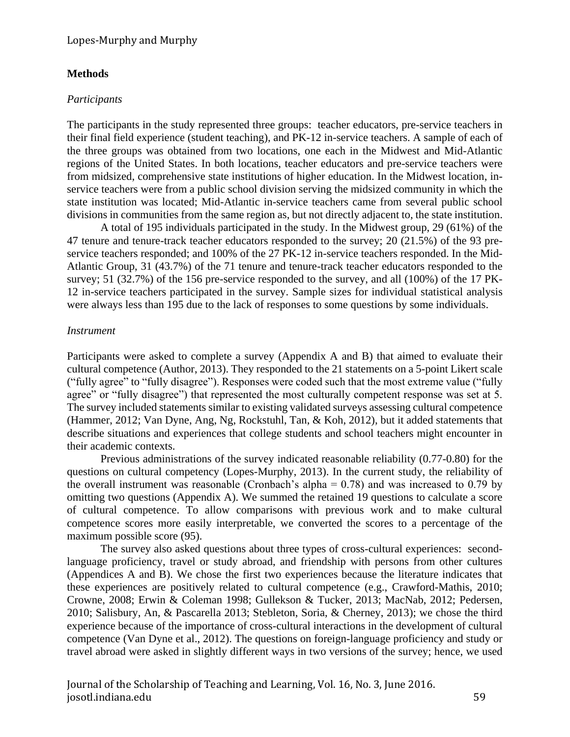#### **Methods**

#### *Participants*

The participants in the study represented three groups: teacher educators, pre-service teachers in their final field experience (student teaching), and PK-12 in-service teachers. A sample of each of the three groups was obtained from two locations, one each in the Midwest and Mid-Atlantic regions of the United States. In both locations, teacher educators and pre-service teachers were from midsized, comprehensive state institutions of higher education. In the Midwest location, inservice teachers were from a public school division serving the midsized community in which the state institution was located; Mid-Atlantic in-service teachers came from several public school divisions in communities from the same region as, but not directly adjacent to, the state institution.

A total of 195 individuals participated in the study. In the Midwest group, 29 (61%) of the 47 tenure and tenure-track teacher educators responded to the survey; 20 (21.5%) of the 93 preservice teachers responded; and 100% of the 27 PK-12 in-service teachers responded. In the Mid-Atlantic Group, 31 (43.7%) of the 71 tenure and tenure-track teacher educators responded to the survey; 51 (32.7%) of the 156 pre-service responded to the survey, and all (100%) of the 17 PK-12 in-service teachers participated in the survey. Sample sizes for individual statistical analysis were always less than 195 due to the lack of responses to some questions by some individuals.

#### *Instrument*

Participants were asked to complete a survey (Appendix A and B) that aimed to evaluate their cultural competence (Author, 2013). They responded to the 21 statements on a 5-point Likert scale ("fully agree" to "fully disagree"). Responses were coded such that the most extreme value ("fully agree" or "fully disagree") that represented the most culturally competent response was set at 5. The survey included statements similar to existing validated surveys assessing cultural competence (Hammer, 2012; Van Dyne, Ang, Ng, Rockstuhl, Tan, & Koh, 2012), but it added statements that describe situations and experiences that college students and school teachers might encounter in their academic contexts.

Previous administrations of the survey indicated reasonable reliability (0.77-0.80) for the questions on cultural competency (Lopes-Murphy, 2013). In the current study, the reliability of the overall instrument was reasonable (Cronbach's alpha =  $0.78$ ) and was increased to 0.79 by omitting two questions (Appendix A). We summed the retained 19 questions to calculate a score of cultural competence. To allow comparisons with previous work and to make cultural competence scores more easily interpretable, we converted the scores to a percentage of the maximum possible score (95).

The survey also asked questions about three types of cross-cultural experiences: secondlanguage proficiency, travel or study abroad, and friendship with persons from other cultures (Appendices A and B). We chose the first two experiences because the literature indicates that these experiences are positively related to cultural competence (e.g., Crawford-Mathis, 2010; Crowne, 2008; Erwin & Coleman 1998; Gullekson & Tucker, 2013; MacNab, 2012; Pedersen, 2010; Salisbury, An, & Pascarella 2013; Stebleton, Soria, & Cherney, 2013); we chose the third experience because of the importance of cross-cultural interactions in the development of cultural competence (Van Dyne et al., 2012). The questions on foreign-language proficiency and study or travel abroad were asked in slightly different ways in two versions of the survey; hence, we used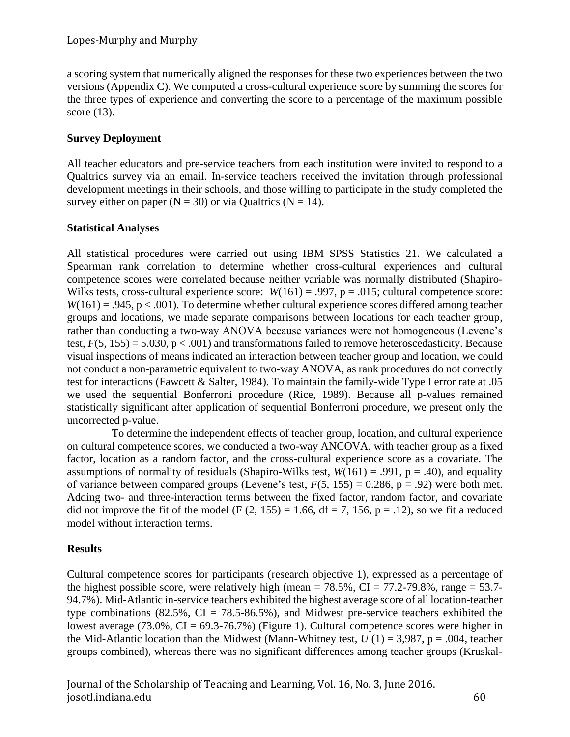a scoring system that numerically aligned the responses for these two experiences between the two versions (Appendix C). We computed a cross-cultural experience score by summing the scores for the three types of experience and converting the score to a percentage of the maximum possible score (13).

# **Survey Deployment**

All teacher educators and pre-service teachers from each institution were invited to respond to a Qualtrics survey via an email. In-service teachers received the invitation through professional development meetings in their schools, and those willing to participate in the study completed the survey either on paper ( $N = 30$ ) or via Qualtrics ( $N = 14$ ).

# **Statistical Analyses**

All statistical procedures were carried out using IBM SPSS Statistics 21. We calculated a Spearman rank correlation to determine whether cross-cultural experiences and cultural competence scores were correlated because neither variable was normally distributed (Shapiro-Wilks tests, cross-cultural experience score:  $W(161) = .997$ ,  $p = .015$ ; cultural competence score:  $W(161) = .945$ ,  $p < .001$ ). To determine whether cultural experience scores differed among teacher groups and locations, we made separate comparisons between locations for each teacher group, rather than conducting a two-way ANOVA because variances were not homogeneous (Levene's test,  $F(5, 155) = 5.030$ ,  $p < .001$ ) and transformations failed to remove heteroscedasticity. Because visual inspections of means indicated an interaction between teacher group and location, we could not conduct a non-parametric equivalent to two-way ANOVA, as rank procedures do not correctly test for interactions (Fawcett & Salter, 1984). To maintain the family-wide Type I error rate at .05 we used the sequential Bonferroni procedure (Rice, 1989). Because all p-values remained statistically significant after application of sequential Bonferroni procedure, we present only the uncorrected p-value.

To determine the independent effects of teacher group, location, and cultural experience on cultural competence scores, we conducted a two-way ANCOVA, with teacher group as a fixed factor, location as a random factor, and the cross-cultural experience score as a covariate. The assumptions of normality of residuals (Shapiro-Wilks test,  $W(161) = .991$ ,  $p = .40$ ), and equality of variance between compared groups (Levene's test,  $F(5, 155) = 0.286$ ,  $p = .92$ ) were both met. Adding two- and three-interaction terms between the fixed factor, random factor, and covariate did not improve the fit of the model (F  $(2, 155) = 1.66$ , df = 7, 156, p = .12), so we fit a reduced model without interaction terms.

# **Results**

Cultural competence scores for participants (research objective 1), expressed as a percentage of the highest possible score, were relatively high (mean =  $78.5\%$ , CI =  $77.2$ - $79.8\%$ , range =  $53.7$ -94.7%). Mid-Atlantic in-service teachers exhibited the highest average score of all location-teacher type combinations (82.5%,  $CI = 78.5{\text -}86.5\%$ ), and Midwest pre-service teachers exhibited the lowest average (73.0%,  $CI = 69.3-76.7%$ ) (Figure 1). Cultural competence scores were higher in the Mid-Atlantic location than the Midwest (Mann-Whitney test,  $U(1) = 3,987$ ,  $p = .004$ , teacher groups combined), whereas there was no significant differences among teacher groups (Kruskal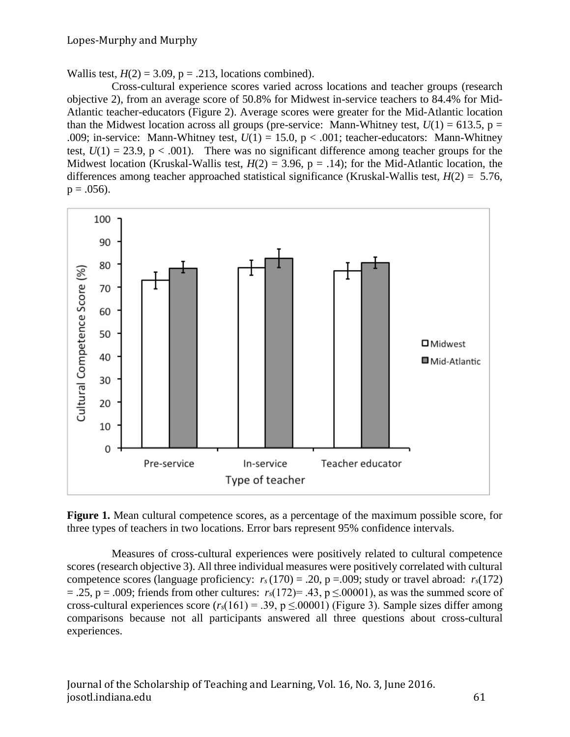Wallis test,  $H(2) = 3.09$ ,  $p = .213$ , locations combined).

Cross-cultural experience scores varied across locations and teacher groups (research objective 2), from an average score of 50.8% for Midwest in-service teachers to 84.4% for Mid-Atlantic teacher-educators (Figure 2). Average scores were greater for the Mid-Atlantic location than the Midwest location across all groups (pre-service: Mann-Whitney test,  $U(1) = 613.5$ , p = .009; in-service: Mann-Whitney test,  $U(1) = 15.0$ ,  $p < .001$ ; teacher-educators: Mann-Whitney test,  $U(1) = 23.9$ ,  $p < .001$ ). There was no significant difference among teacher groups for the Midwest location (Kruskal-Wallis test,  $H(2) = 3.96$ ,  $p = .14$ ); for the Mid-Atlantic location, the differences among teacher approached statistical significance (Kruskal-Wallis test, *H*(2) = 5.76,  $p = .056$ ).



**Figure 1.** Mean cultural competence scores, as a percentage of the maximum possible score, for three types of teachers in two locations. Error bars represent 95% confidence intervals.

Measures of cross-cultural experiences were positively related to cultural competence scores (research objective 3). All three individual measures were positively correlated with cultural competence scores (language proficiency:  $r_s(170) = .20$ ,  $p = .009$ ; study or travel abroad:  $r_s(172)$  $= .25$ ,  $p = .009$ ; friends from other cultures:  $r_s(172) = .43$ ,  $p \le 0.0001$ ), as was the summed score of cross-cultural experiences score  $(r_s(161) = .39, p \le 00001)$  (Figure 3). Sample sizes differ among comparisons because not all participants answered all three questions about cross-cultural experiences.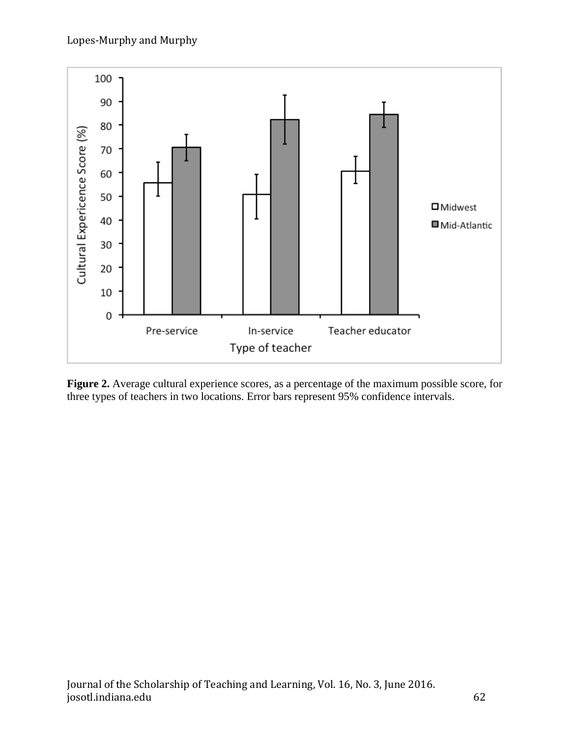

**Figure 2.** Average cultural experience scores, as a percentage of the maximum possible score, for three types of teachers in two locations. Error bars represent 95% confidence intervals.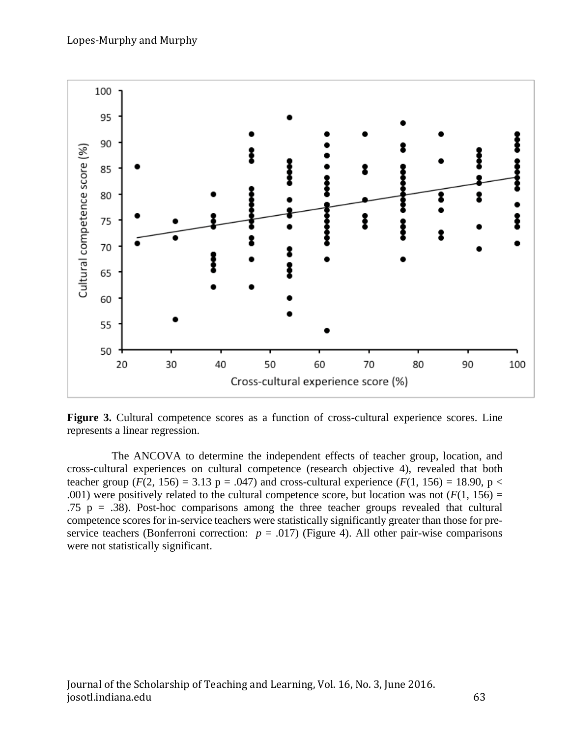

**Figure 3.** Cultural competence scores as a function of cross-cultural experience scores. Line represents a linear regression.

The ANCOVA to determine the independent effects of teacher group, location, and cross-cultural experiences on cultural competence (research objective 4), revealed that both teacher group ( $F(2, 156) = 3.13$  p = .047) and cross-cultural experience ( $F(1, 156) = 18.90$ , p < .001) were positively related to the cultural competence score, but location was not  $(F(1, 156) =$ .75 p = .38). Post-hoc comparisons among the three teacher groups revealed that cultural competence scores for in-service teachers were statistically significantly greater than those for preservice teachers (Bonferroni correction:  $p = .017$ ) (Figure 4). All other pair-wise comparisons were not statistically significant.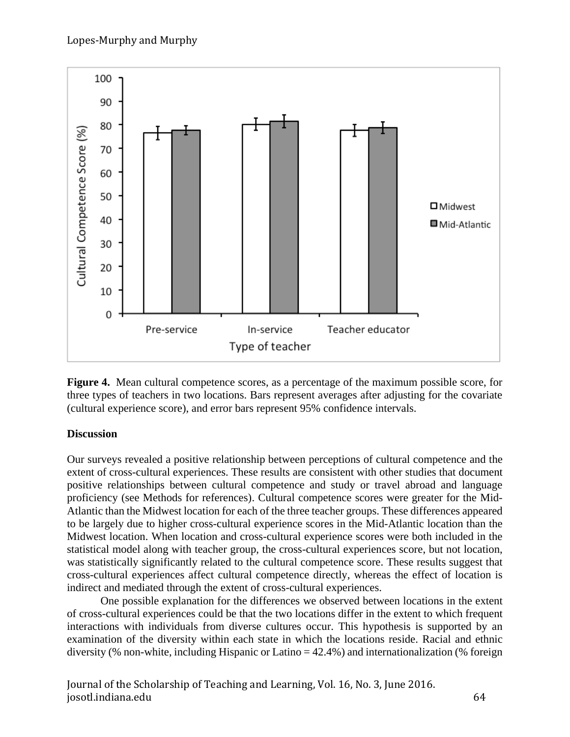

**Figure 4.** Mean cultural competence scores, as a percentage of the maximum possible score, for three types of teachers in two locations. Bars represent averages after adjusting for the covariate (cultural experience score), and error bars represent 95% confidence intervals.

# **Discussion**

Our surveys revealed a positive relationship between perceptions of cultural competence and the extent of cross-cultural experiences. These results are consistent with other studies that document positive relationships between cultural competence and study or travel abroad and language proficiency (see Methods for references). Cultural competence scores were greater for the Mid-Atlantic than the Midwest location for each of the three teacher groups. These differences appeared to be largely due to higher cross-cultural experience scores in the Mid-Atlantic location than the Midwest location. When location and cross-cultural experience scores were both included in the statistical model along with teacher group, the cross-cultural experiences score, but not location, was statistically significantly related to the cultural competence score. These results suggest that cross-cultural experiences affect cultural competence directly, whereas the effect of location is indirect and mediated through the extent of cross-cultural experiences.

One possible explanation for the differences we observed between locations in the extent of cross-cultural experiences could be that the two locations differ in the extent to which frequent interactions with individuals from diverse cultures occur. This hypothesis is supported by an examination of the diversity within each state in which the locations reside. Racial and ethnic diversity (% non-white, including Hispanic or Latino = 42.4%) and internationalization (% foreign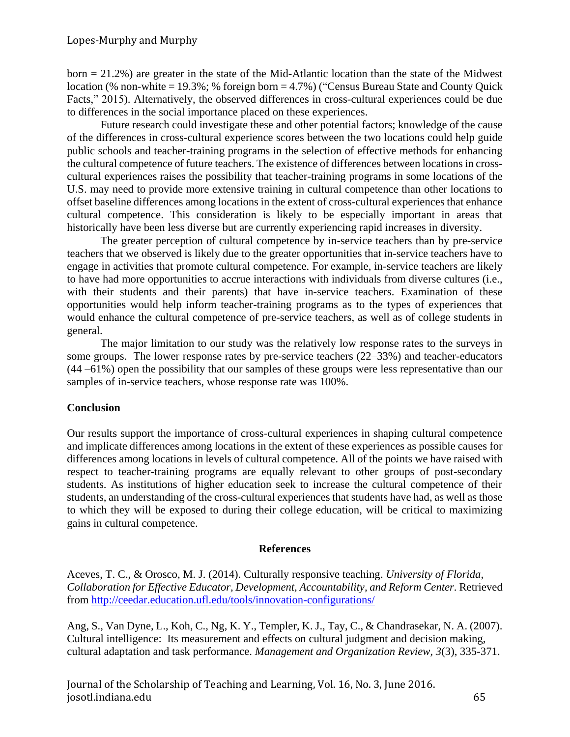born = 21.2%) are greater in the state of the Mid-Atlantic location than the state of the Midwest location (% non-white = 19.3%; % foreign born = 4.7%) ("Census Bureau State and County Quick" Facts," 2015). Alternatively, the observed differences in cross-cultural experiences could be due to differences in the social importance placed on these experiences.

Future research could investigate these and other potential factors; knowledge of the cause of the differences in cross-cultural experience scores between the two locations could help guide public schools and teacher-training programs in the selection of effective methods for enhancing the cultural competence of future teachers. The existence of differences between locations in crosscultural experiences raises the possibility that teacher-training programs in some locations of the U.S. may need to provide more extensive training in cultural competence than other locations to offset baseline differences among locations in the extent of cross-cultural experiences that enhance cultural competence. This consideration is likely to be especially important in areas that historically have been less diverse but are currently experiencing rapid increases in diversity.

The greater perception of cultural competence by in-service teachers than by pre-service teachers that we observed is likely due to the greater opportunities that in-service teachers have to engage in activities that promote cultural competence. For example, in-service teachers are likely to have had more opportunities to accrue interactions with individuals from diverse cultures (i.e., with their students and their parents) that have in-service teachers. Examination of these opportunities would help inform teacher-training programs as to the types of experiences that would enhance the cultural competence of pre-service teachers, as well as of college students in general.

The major limitation to our study was the relatively low response rates to the surveys in some groups. The lower response rates by pre-service teachers (22–33%) and teacher-educators (44 –61%) open the possibility that our samples of these groups were less representative than our samples of in-service teachers, whose response rate was 100%.

### **Conclusion**

Our results support the importance of cross-cultural experiences in shaping cultural competence and implicate differences among locations in the extent of these experiences as possible causes for differences among locations in levels of cultural competence. All of the points we have raised with respect to teacher-training programs are equally relevant to other groups of post-secondary students. As institutions of higher education seek to increase the cultural competence of their students, an understanding of the cross-cultural experiences that students have had, as well as those to which they will be exposed to during their college education, will be critical to maximizing gains in cultural competence.

### **References**

Aceves, T. C., & Orosco, M. J. (2014). Culturally responsive teaching. *University of Florida, Collaboration for Effective Educator, Development, Accountability, and Reform Center.* Retrieved from<http://ceedar.education.ufl.edu/tools/innovation-configurations/>

Ang, S., Van Dyne, L., Koh, C., Ng, K. Y., Templer, K. J., Tay, C., & Chandrasekar, N. A. (2007). Cultural intelligence: Its measurement and effects on cultural judgment and decision making, cultural adaptation and task performance. *Management and Organization Review, 3*(3), 335-371.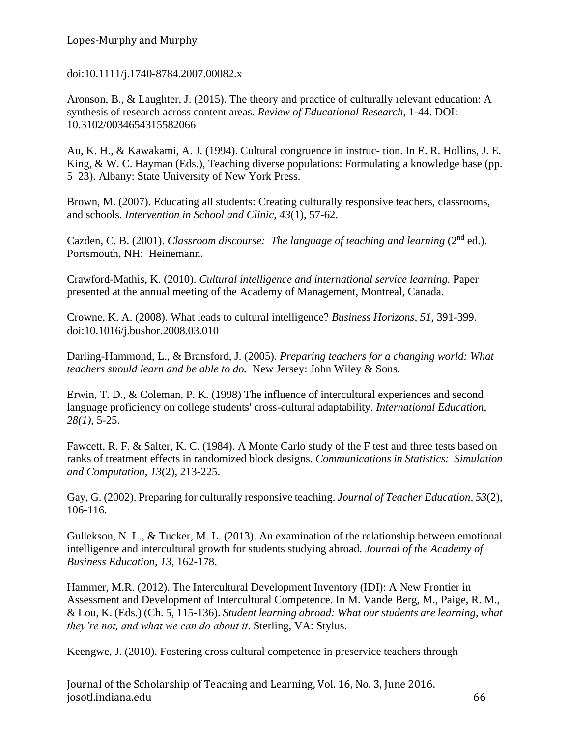doi:10.1111/j.1740-8784.2007.00082.x

Aronson, B., & Laughter, J. (2015). The theory and practice of culturally relevant education: A synthesis of research across content areas. *Review of Educational Research*, 1-44. DOI: 10.3102/0034654315582066

Au, K. H., & Kawakami, A. J. (1994). Cultural congruence in instruc- tion. In E. R. Hollins, J. E. King, & W. C. Hayman (Eds.), Teaching diverse populations: Formulating a knowledge base (pp. 5–23). Albany: State University of New York Press.

Brown, M. (2007). Educating all students: Creating culturally responsive teachers, classrooms, and schools. *Intervention in School and Clinic, 43*(1), 57-62.

Cazden, C. B. (2001). *Classroom discourse: The language of teaching and learning* (2<sup>nd</sup> ed.). Portsmouth, NH: Heinemann.

Crawford-Mathis, K. (2010). *Cultural intelligence and international service learning.* Paper presented at the annual meeting of the Academy of Management, Montreal, Canada.

Crowne, K. A. (2008). What leads to cultural intelligence? *Business Horizons, 51,* 391-399. doi:10.1016/j.bushor.2008.03.010

Darling-Hammond, L., & Bransford, J. (2005). *Preparing teachers for a changing world: What teachers should learn and be able to do.* New Jersey: John Wiley & Sons.

Erwin, T. D., & Coleman, P. K. (1998) The influence of intercultural experiences and second language proficiency on college students' cross-cultural adaptability. *International Education*, *28(1)*, 5-25.

Fawcett, R. F. & Salter, K. C. (1984). A Monte Carlo study of the F test and three tests based on ranks of treatment effects in randomized block designs. *Communications in Statistics: Simulation and Computation*, *13*(2), 213-225.

Gay, G. (2002). Preparing for culturally responsive teaching. *Journal of Teacher Education, 53*(2), 106-116.

Gullekson, N. L., & Tucker, M. L. (2013). An examination of the relationship between emotional intelligence and intercultural growth for students studying abroad. *Journal of the Academy of Business Education, 13*, 162-178.

Hammer, M.R. (2012). The Intercultural Development Inventory (IDI): A New Frontier in Assessment and Development of Intercultural Competence. In M. Vande Berg, M., Paige, R. M., & Lou, K. (Eds.) (Ch. 5, 115-136). *Student learning abroad: What our students are learning, what they're not, and what we can do about it*. Sterling, VA: Stylus.

Keengwe, J. (2010). Fostering cross cultural competence in preservice teachers through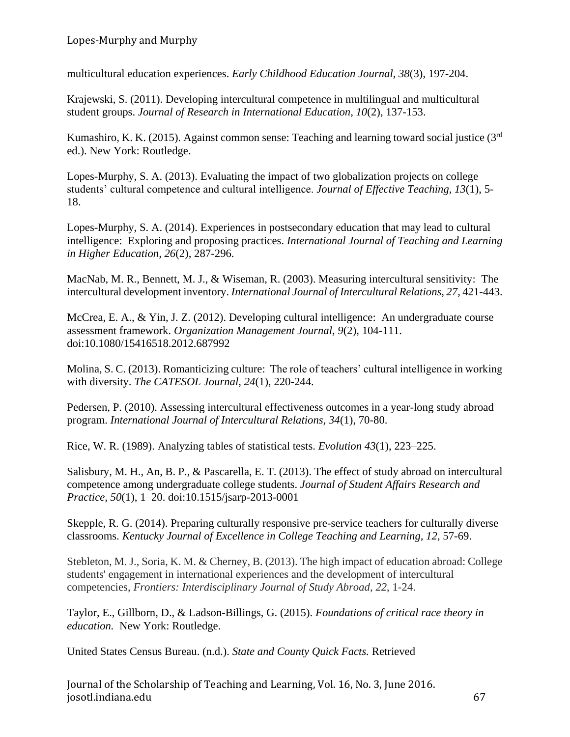multicultural education experiences. *Early Childhood Education Journal, 38*(3), 197-204.

Krajewski, S. (2011). Developing intercultural competence in multilingual and multicultural student groups. *Journal of Research in International Education, 10*(2), 137-153.

Kumashiro, K. K. (2015). Against common sense: Teaching and learning toward social justice (3<sup>rd</sup>) ed.). New York: Routledge.

Lopes-Murphy, S. A. (2013). Evaluating the impact of two globalization projects on college students' cultural competence and cultural intelligence. *Journal of Effective Teaching, 13*(1), 5- 18.

Lopes-Murphy, S. A. (2014). Experiences in postsecondary education that may lead to cultural intelligence: Exploring and proposing practices. *International Journal of Teaching and Learning in Higher Education, 26*(2), 287-296.

MacNab, M. R., Bennett, M. J., & Wiseman, R. (2003). Measuring intercultural sensitivity: The intercultural development inventory. *International Journal of Intercultural Relations, 27*, 421-443.

McCrea, E. A., & Yin, J. Z. (2012). Developing cultural intelligence: An undergraduate course assessment framework. *Organization Management Journal, 9*(2), 104-111. doi:10.1080/15416518.2012.687992

Molina, S. C. (2013). Romanticizing culture: The role of teachers' cultural intelligence in working with diversity. *The CATESOL Journal, 24*(1), 220-244.

Pedersen, P. (2010). Assessing intercultural effectiveness outcomes in a year-long study abroad program. *International Journal of Intercultural Relations, 34*(1), 70-80.

Rice, W. R. (1989). Analyzing tables of statistical tests. *Evolution 43*(1), 223–225.

Salisbury, M. H., An, B. P., & Pascarella, E. T. (2013). The effect of study abroad on intercultural competence among undergraduate college students. *Journal of Student Affairs Research and Practice, 50*(1), 1–20. doi:10.1515/jsarp-2013-0001

Skepple, R. G. (2014). Preparing culturally responsive pre-service teachers for culturally diverse classrooms. *Kentucky Journal of Excellence in College Teaching and Learning, 12*, 57-69.

Stebleton, M. J., Soria, K. M. & Cherney, B. (2013). The high impact of education abroad: College students' engagement in international experiences and the development of intercultural competencies, *Frontiers: Interdisciplinary Journal of Study Abroad, 22*, 1-24.

Taylor, E., Gillborn, D., & Ladson-Billings, G. (2015). *Foundations of critical race theory in education.* New York: Routledge.

United States Census Bureau. (n.d.). *State and County Quick Facts.* Retrieved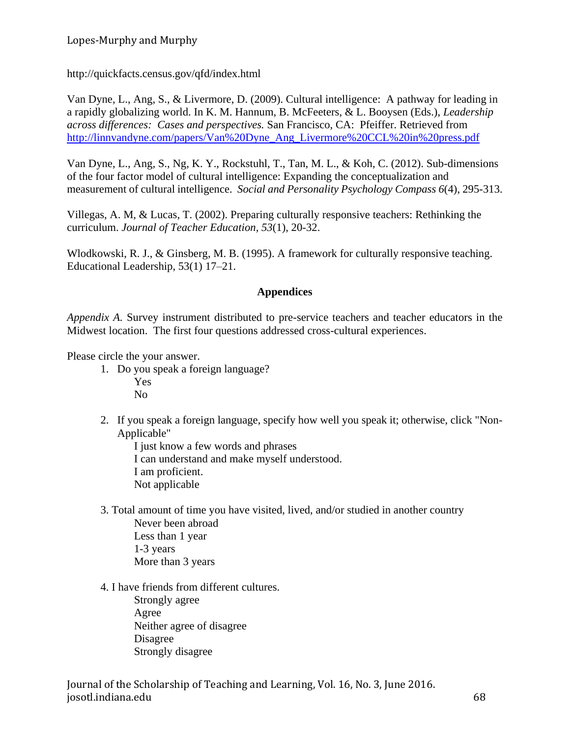<http://quickfacts.census.gov/qfd/index.html>

Van Dyne, L., Ang, S., & Livermore, D. (2009). Cultural intelligence: A pathway for leading in a rapidly globalizing world. In K. M. Hannum, B. McFeeters, & L. Booysen (Eds.), *Leadership across differences: Cases and perspectives.* San Francisco, CA: Pfeiffer. Retrieved from [http://linnvandyne.com/papers/Van%20Dyne\\_Ang\\_Livermore%20CCL%20in%20press.pdf](http://linnvandyne.com/papers/Van%20Dyne_Ang_Livermore%20CCL%20in%20press.pdf)

Van Dyne, L., Ang, S., Ng, K. Y., Rockstuhl, T., Tan, M. L., & Koh, C. (2012). Sub-dimensions of the four factor model of cultural intelligence: Expanding the conceptualization and measurement of cultural intelligence. *Social and Personality Psychology Compass 6*(4), 295-313.

Villegas, A. M, & Lucas, T. (2002). Preparing culturally responsive teachers: Rethinking the curriculum. *Journal of Teacher Education, 53*(1), 20-32.

Wlodkowski, R. J., & Ginsberg, M. B. (1995). A framework for culturally responsive teaching. Educational Leadership, 53(1) 17–21.

### **Appendices**

*Appendix A.* Survey instrument distributed to pre-service teachers and teacher educators in the Midwest location. The first four questions addressed cross-cultural experiences.

Please circle the your answer.

- 1. Do you speak a foreign language? Yes No
- 2. If you speak a foreign language, specify how well you speak it; otherwise, click "Non-Applicable"

I just know a few words and phrases I can understand and make myself understood. I am proficient. Not applicable

- 3. Total amount of time you have visited, lived, and/or studied in another country Never been abroad Less than 1 year 1-3 years More than 3 years
- 4. I have friends from different cultures.

Strongly agree Agree Neither agree of disagree Disagree Strongly disagree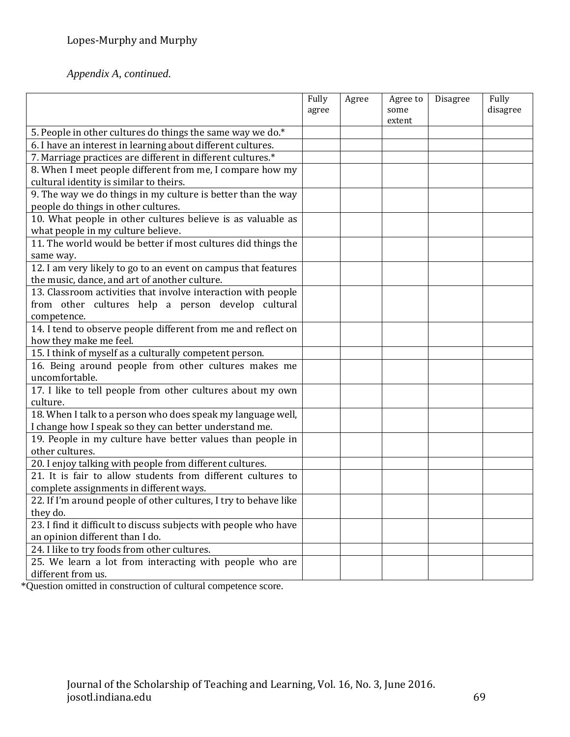*Appendix A, continued.*

|                                                                  | Fully<br>agree | Agree | Agree to<br>some | Disagree | Fully<br>disagree |
|------------------------------------------------------------------|----------------|-------|------------------|----------|-------------------|
|                                                                  |                |       | extent           |          |                   |
| 5. People in other cultures do things the same way we do.*       |                |       |                  |          |                   |
| 6. I have an interest in learning about different cultures.      |                |       |                  |          |                   |
| 7. Marriage practices are different in different cultures.*      |                |       |                  |          |                   |
| 8. When I meet people different from me, I compare how my        |                |       |                  |          |                   |
| cultural identity is similar to theirs.                          |                |       |                  |          |                   |
| 9. The way we do things in my culture is better than the way     |                |       |                  |          |                   |
| people do things in other cultures.                              |                |       |                  |          |                   |
| 10. What people in other cultures believe is as valuable as      |                |       |                  |          |                   |
| what people in my culture believe.                               |                |       |                  |          |                   |
| 11. The world would be better if most cultures did things the    |                |       |                  |          |                   |
| same way.                                                        |                |       |                  |          |                   |
| 12. I am very likely to go to an event on campus that features   |                |       |                  |          |                   |
| the music, dance, and art of another culture.                    |                |       |                  |          |                   |
| 13. Classroom activities that involve interaction with people    |                |       |                  |          |                   |
| from other cultures help a person develop cultural               |                |       |                  |          |                   |
| competence.                                                      |                |       |                  |          |                   |
| 14. I tend to observe people different from me and reflect on    |                |       |                  |          |                   |
| how they make me feel.                                           |                |       |                  |          |                   |
| 15. I think of myself as a culturally competent person.          |                |       |                  |          |                   |
| 16. Being around people from other cultures makes me             |                |       |                  |          |                   |
| uncomfortable.                                                   |                |       |                  |          |                   |
| 17. I like to tell people from other cultures about my own       |                |       |                  |          |                   |
| culture.                                                         |                |       |                  |          |                   |
| 18. When I talk to a person who does speak my language well,     |                |       |                  |          |                   |
| I change how I speak so they can better understand me.           |                |       |                  |          |                   |
| 19. People in my culture have better values than people in       |                |       |                  |          |                   |
| other cultures.                                                  |                |       |                  |          |                   |
| 20. I enjoy talking with people from different cultures.         |                |       |                  |          |                   |
| 21. It is fair to allow students from different cultures to      |                |       |                  |          |                   |
| complete assignments in different ways.                          |                |       |                  |          |                   |
| 22. If I'm around people of other cultures, I try to behave like |                |       |                  |          |                   |
| they do.                                                         |                |       |                  |          |                   |
| 23. I find it difficult to discuss subjects with people who have |                |       |                  |          |                   |
| an opinion different than I do.                                  |                |       |                  |          |                   |
| 24. I like to try foods from other cultures.                     |                |       |                  |          |                   |
| 25. We learn a lot from interacting with people who are          |                |       |                  |          |                   |
| different from us.                                               |                |       |                  |          |                   |

\*Question omitted in construction of cultural competence score.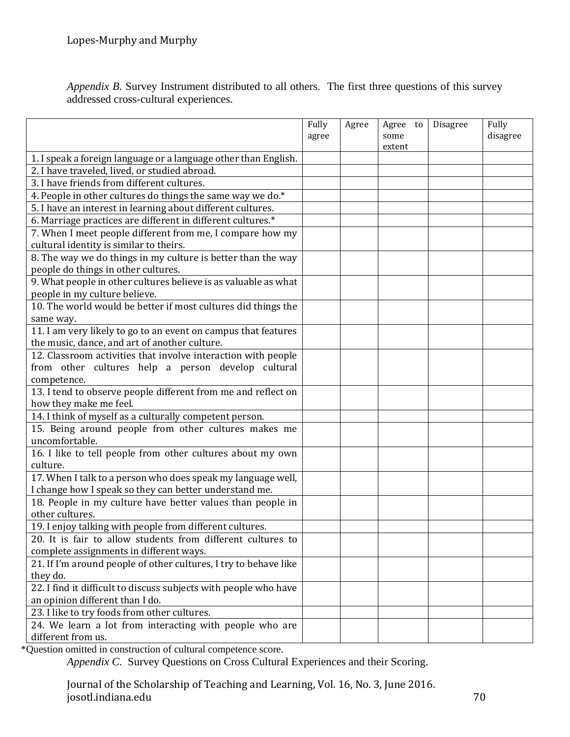*Appendix B.* Survey Instrument distributed to all others. The first three questions of this survey addressed cross-cultural experiences.

|                                                                               | Fully<br>agree | Agree | Agree to<br>some<br>extent | Disagree | Fully<br>disagree |
|-------------------------------------------------------------------------------|----------------|-------|----------------------------|----------|-------------------|
| 1. I speak a foreign language or a language other than English.               |                |       |                            |          |                   |
| 2. I have traveled, lived, or studied abroad.                                 |                |       |                            |          |                   |
| 3. I have friends from different cultures.                                    |                |       |                            |          |                   |
| 4. People in other cultures do things the same way we do.*                    |                |       |                            |          |                   |
| 5. I have an interest in learning about different cultures.                   |                |       |                            |          |                   |
| 6. Marriage practices are different in different cultures.*                   |                |       |                            |          |                   |
| 7. When I meet people different from me, I compare how my                     |                |       |                            |          |                   |
| cultural identity is similar to theirs.                                       |                |       |                            |          |                   |
| 8. The way we do things in my culture is better than the way                  |                |       |                            |          |                   |
| people do things in other cultures.                                           |                |       |                            |          |                   |
| 9. What people in other cultures believe is as valuable as what               |                |       |                            |          |                   |
| people in my culture believe.                                                 |                |       |                            |          |                   |
| 10. The world would be better if most cultures did things the                 |                |       |                            |          |                   |
| same way.                                                                     |                |       |                            |          |                   |
| 11. I am very likely to go to an event on campus that features                |                |       |                            |          |                   |
| the music, dance, and art of another culture.                                 |                |       |                            |          |                   |
| 12. Classroom activities that involve interaction with people                 |                |       |                            |          |                   |
| from other cultures help a person develop cultural                            |                |       |                            |          |                   |
| competence.                                                                   |                |       |                            |          |                   |
| 13. I tend to observe people different from me and reflect on                 |                |       |                            |          |                   |
| how they make me feel.                                                        |                |       |                            |          |                   |
| 14. I think of myself as a culturally competent person.                       |                |       |                            |          |                   |
| 15. Being around people from other cultures makes me                          |                |       |                            |          |                   |
| uncomfortable.                                                                |                |       |                            |          |                   |
| 16. I like to tell people from other cultures about my own                    |                |       |                            |          |                   |
| culture.                                                                      |                |       |                            |          |                   |
| 17. When I talk to a person who does speak my language well,                  |                |       |                            |          |                   |
| I change how I speak so they can better understand me.                        |                |       |                            |          |                   |
| 18. People in my culture have better values than people in                    |                |       |                            |          |                   |
| other cultures.                                                               |                |       |                            |          |                   |
| 19. I enjoy talking with people from different cultures.                      |                |       |                            |          |                   |
| 20. It is fair to allow students from different cultures to                   |                |       |                            |          |                   |
| complete assignments in different ways.                                       |                |       |                            |          |                   |
| 21. If I'm around people of other cultures, I try to behave like              |                |       |                            |          |                   |
| they do.<br>22. I find it difficult to discuss subjects with people who have  |                |       |                            |          |                   |
| an opinion different than I do.                                               |                |       |                            |          |                   |
|                                                                               |                |       |                            |          |                   |
| 23. I like to try foods from other cultures.                                  |                |       |                            |          |                   |
| 24. We learn a lot from interacting with people who are<br>different from us. |                |       |                            |          |                   |
|                                                                               |                |       |                            |          |                   |

\*Question omitted in construction of cultural competence score.

*Appendix C.* Survey Questions on Cross Cultural Experiences and their Scoring.